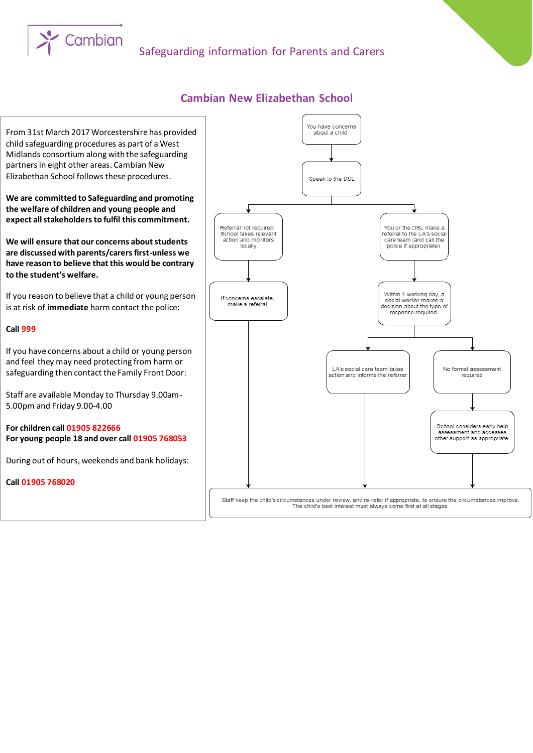# Safeguarding information for Parents and Carers

### **Cambian New Elizabethan School**



From 31st March 2017 Worcestershire has provided child safeguarding procedures as part of a West Midlands consortium along with the safeguarding partners in eight other areas. Cambian New Elizabethan School follows these procedures.

Cambian

**We are committed to Safeguarding and promoting the welfare of children and young people and expect all stakeholders to fulfil this commitment.**

**We will ensure that our concerns about students are discussed with parents/carers first-unless we have reason to believe that this would be contrary to the student's welfare.**

If you reason to believe that a child or young person is at risk of **immediate** harm contact the police:

#### **Call 999**

If you have concerns about a child or young person and feel they may need protecting from harm or safeguarding then contact the Family Front Door:

Staff are available Monday to Thursday 9.00am-5.00pm and Friday 9.00-4.00

**For children call 01905 822666 For young people 18 and over call 01905 768053** 

During out of hours, weekends and bank holidays:

**Call 01905 768020**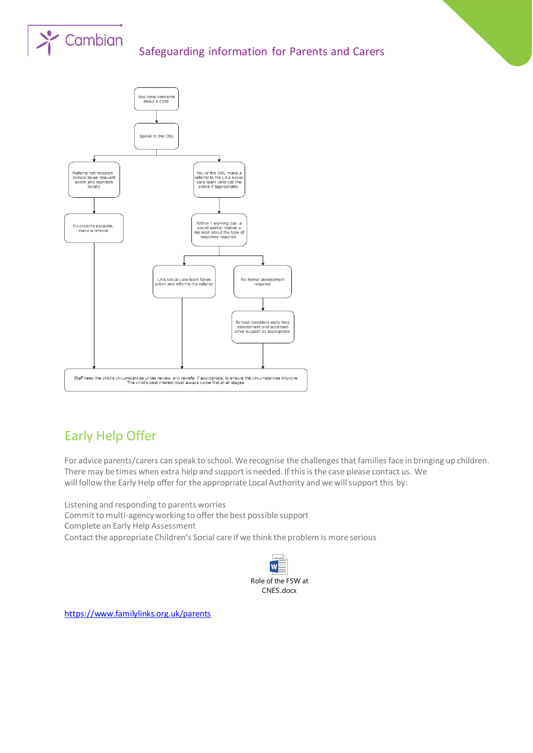

# Safeguarding information for Parents and Carers



# Early Help Offer

For advice parents/carers can speak to school. We recognise the challenges that families face in bringing up children. There may be times when extra help and support is needed. If this is the case please contact us. We will follow the Early Help offer for the appropriate Local Authority and we will support this by:

Listening and responding to parents worries Commit to multi-agency working to offer the best possible support Complete an Early Help Assessment Contact the appropriate Children's Social care if we think the problem is more serious



<https://www.familylinks.org.uk/parents>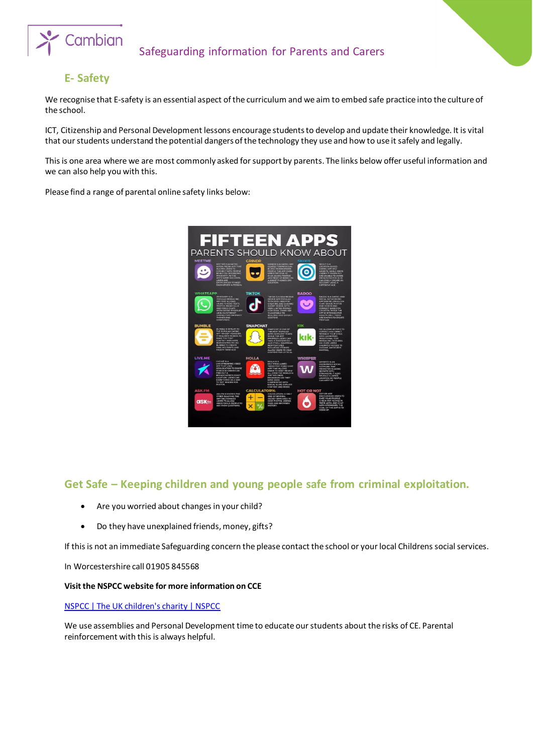

## **E- Safety**

We recognise that E-safety is an essential aspect of the curriculum and we aim to embed safe practice into the culture of the school.

ICT, Citizenship and Personal Development lessons encourage students to develop and update their knowledge. It is vital that our students understand the potential dangers of the technology they use and how to use it safely and legally.

This is one area where we are most commonly asked for support by parents. The links below offer useful information and we can also help you with this.

Please find a range of parental online safety links below:



### **Get Safe – Keeping children and young people safe from criminal exploitation.**

- Are you worried about changes in your child?
- Do they have unexplained friends, money, gifts?

If this is not an immediate Safeguarding concern the please contact the school or your local Childrens social services.

In Worcestershire call 01905 845568

#### **Visit the NSPCC website for more information on CCE**

[NSPCC | The UK children's charity | NSPCC](https://www.nspcc.org.uk/)

We use assemblies and Personal Development time to educate our students about the risks of CE. Parental reinforcement with this is always helpful.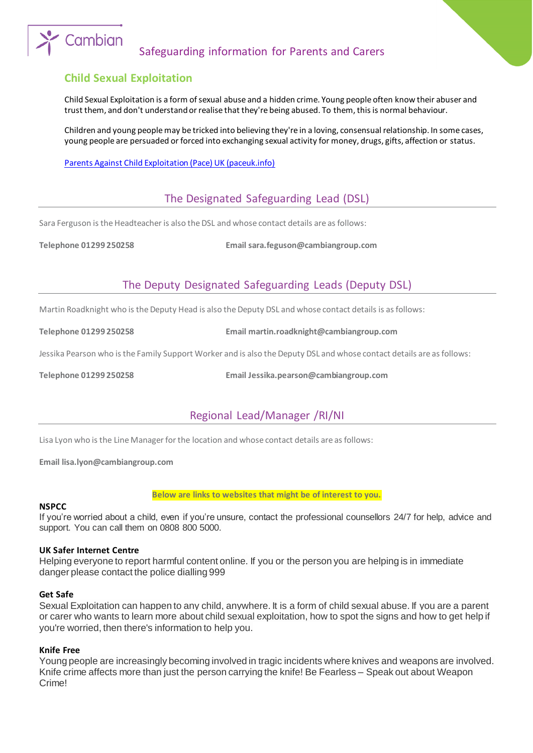# Safeguarding information for Parents and Carers

### **Child Sexual Exploitation**

Cambian

Child Sexual Exploitation is a form of sexual abuse and a hidden crime. Young people often know their abuser and trust them, and don't understand or realise that they're being abused. To them, this is normal behaviour.

Children and young people may be tricked into believing they're in a loving, consensual relationship. In some cases, young people are persuaded or forced into exchanging sexual activity for money, drugs, gifts, affection or status.

[Parents Against Child Exploitation \(Pace\) UK \(paceuk.info\)](https://paceuk.info/)

# The Designated Safeguarding Lead (DSL)

Sara Ferguson is the Headteacher is also the DSL and whose contact details are as follows:

**Telephone 01299 250258 Email sara.feguson@cambiangroup.com**

# The Deputy Designated Safeguarding Leads (Deputy DSL)

Martin Roadknight who is the Deputy Head is also the Deputy DSL and whose contact details is as follows:

**Telephone 01299 250258 Email martin.roadknight@cambiangroup.com**

Jessika Pearson who is the Family Support Worker and is also the Deputy DSL and whose contact details are as follows:

**Telephone 01299 250258 Email Jessika.pearson@cambiangroup.com**

# Regional Lead/Manager /RI/NI

Lisa Lyon who is the Line Manager for the location and whose contact details are as follows:

**Email lisa.lyon@cambiangroup.com**

#### **Below are links to websites that might be of interest to you.**

#### **NSPCC**

If you're worried about a child, even if you're unsure, contact the professional counsellors 24/7 for help, advice and support. You can call them on 0808 800 5000.

#### **UK Safer Internet Centre**

Helping everyone to report harmful content online. If you or the person you are helping is in immediate danger please contact the police dialling 999

#### **Get Safe**

Sexual Exploitation can happen to any child, anywhere. It is a form of child sexual abuse. If you are a parent or carer who wants to learn more about child sexual exploitation, how to spot the signs and how to get help if you're worried, then there's information to help you.

#### **Knife Free**

Young people are increasingly becoming involved in tragic incidents where knives and weapons are involved. Knife crime affects more than just the person carrying the knife! Be Fearless – Speak out about Weapon Crime!